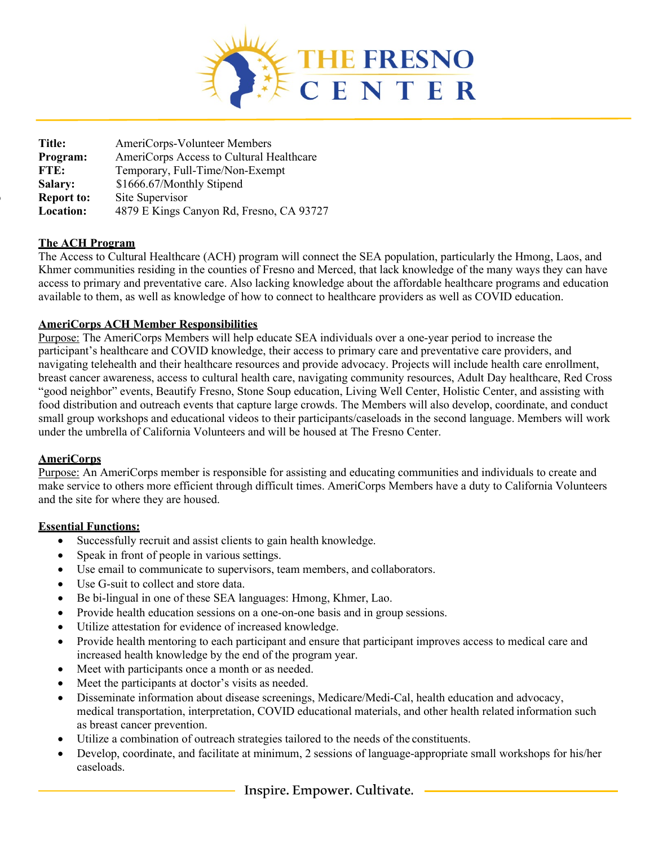

**Title:** AmeriCorps-Volunteer Members **Program:** AmeriCorps Access to Cultural Healthcare  **FTE:** Temporary, Full-Time/Non-Exempt **Salary:** \$1666.67/Monthly Stipend **Report to:** Site Supervisor<br>**Location:** 4879 E Kings C **Location:** 4879 E Kings Canyon Rd, Fresno, CA 93727

# **The ACH Program**

The Access to Cultural Healthcare (ACH) program will connect the SEA population, particularly the Hmong, Laos, and Khmer communities residing in the counties of Fresno and Merced, that lack knowledge of the many ways they can have access to primary and preventative care. Also lacking knowledge about the affordable healthcare programs and education available to them, as well as knowledge of how to connect to healthcare providers as well as COVID education.

#### **AmeriCorps ACH Member Responsibilities**

Purpose: The AmeriCorps Members will help educate SEA individuals over a one-year period to increase the participant's healthcare and COVID knowledge, their access to primary care and preventative care providers, and navigating telehealth and their healthcare resources and provide advocacy. Projects will include health care enrollment, breast cancer awareness, access to cultural health care, navigating community resources, Adult Day healthcare, Red Cross "good neighbor" events, Beautify Fresno, Stone Soup education, Living Well Center, Holistic Center, and assisting with food distribution and outreach events that capture large crowds. The Members will also develop, coordinate, and conduct small group workshops and educational videos to their participants/caseloads in the second language. Members will work under the umbrella of California Volunteers and will be housed at The Fresno Center.

#### **AmeriCorps**

Purpose: An AmeriCorps member is responsible for assisting and educating communities and individuals to create and make service to others more efficient through difficult times. AmeriCorps Members have a duty to California Volunteers and the site for where they are housed.

#### **Essential Functions:**

- Successfully recruit and assist clients to gain health knowledge.
- Speak in front of people in various settings.
- Use email to communicate to supervisors, team members, and collaborators.
- Use G-suit to collect and store data.
- Be bi-lingual in one of these SEA languages: Hmong, Khmer, Lao.
- Provide health education sessions on a one-on-one basis and in group sessions.
- Utilize attestation for evidence of increased knowledge.
- Provide health mentoring to each participant and ensure that participant improves access to medical care and increased health knowledge by the end of the program year.
- Meet with participants once a month or as needed.
- Meet the participants at doctor's visits as needed.
- Disseminate information about disease screenings, Medicare/Medi-Cal, health education and advocacy, medical transportation, interpretation, COVID educational materials, and other health related information such as breast cancer prevention.
- Utilize a combination of outreach strategies tailored to the needs of the constituents.
- Develop, coordinate, and facilitate at minimum, 2 sessions of language-appropriate small workshops for his/her caseloads.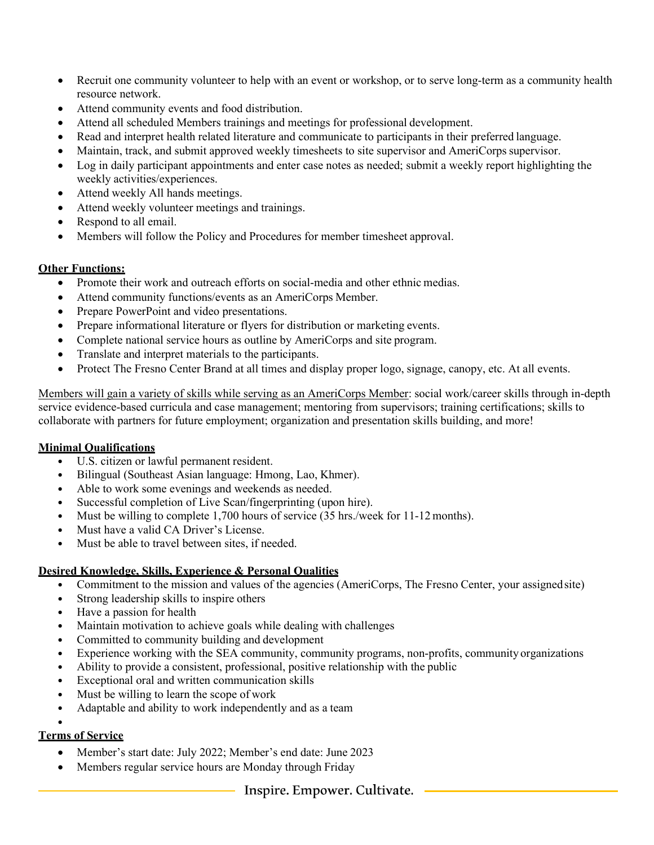- Recruit one community volunteer to help with an event or workshop, or to serve long-term as a community health resource network.
- Attend community events and food distribution.
- Attend all scheduled Members trainings and meetings for professional development.
- Read and interpret health related literature and communicate to participants in their preferred language.
- Maintain, track, and submit approved weekly timesheets to site supervisor and AmeriCorps supervisor.
- Log in daily participant appointments and enter case notes as needed; submit a weekly report highlighting the weekly activities/experiences.
- Attend weekly All hands meetings.
- Attend weekly volunteer meetings and trainings.
- Respond to all email.
- Members will follow the Policy and Procedures for member timesheet approval.

# **Other Functions:**

- Promote their work and outreach efforts on social-media and other ethnic medias.
- Attend community functions/events as an AmeriCorps Member.
- Prepare PowerPoint and video presentations.
- Prepare informational literature or flyers for distribution or marketing events.
- Complete national service hours as outline by AmeriCorps and site program.
- Translate and interpret materials to the participants.
- Protect The Fresno Center Brand at all times and display proper logo, signage, canopy, etc. At all events.

Members will gain a variety of skills while serving as an AmeriCorps Member: social work/career skills through in-depth service evidence-based curricula and case management; mentoring from supervisors; training certifications; skills to collaborate with partners for future employment; organization and presentation skills building, and more!

# **Minimal Qualifications**

- U.S. citizen or lawful permanent resident.<br>• Bilingual (Southeast Asian language: Hmo
- Bilingual (Southeast Asian language: Hmong, Lao, Khmer).
- Able to work some evenings and weekends as needed.<br>• Successful completion of Live Scan/fingermining (up)
- Successful completion of Live Scan/fingerprinting (upon hire).
- Must be willing to complete 1,700 hours of service (35 hrs./week for 11-12 months).
- Must have a valid CA Driver's License.
- Must be able to travel between sites, if needed.

# **Desired Knowledge, Skills, Experience & Personal Qualities**

- Commitment to the mission and values of the agencies (AmeriCorps, The Fresno Center, your assigned site)<br>• Strong leadership skills to inspire others
- Strong leadership skills to inspire others
- Have a passion for health
- Maintain motivation to achieve goals while dealing with challenges
- Committed to community building and development
- Experience working with the SEA community, community programs, non-profits, community organizations
- Ability to provide a consistent, professional, positive relationship with the public
- Exceptional oral and written communication skills
- Must be willing to learn the scope of work
- Adaptable and ability to work independently and as a team

#### • **Terms of Service**

- Member's start date: July 2022; Member's end date: June 2023
- Members regular service hours are Monday through Friday

# Inspire. Empower. Cultivate.